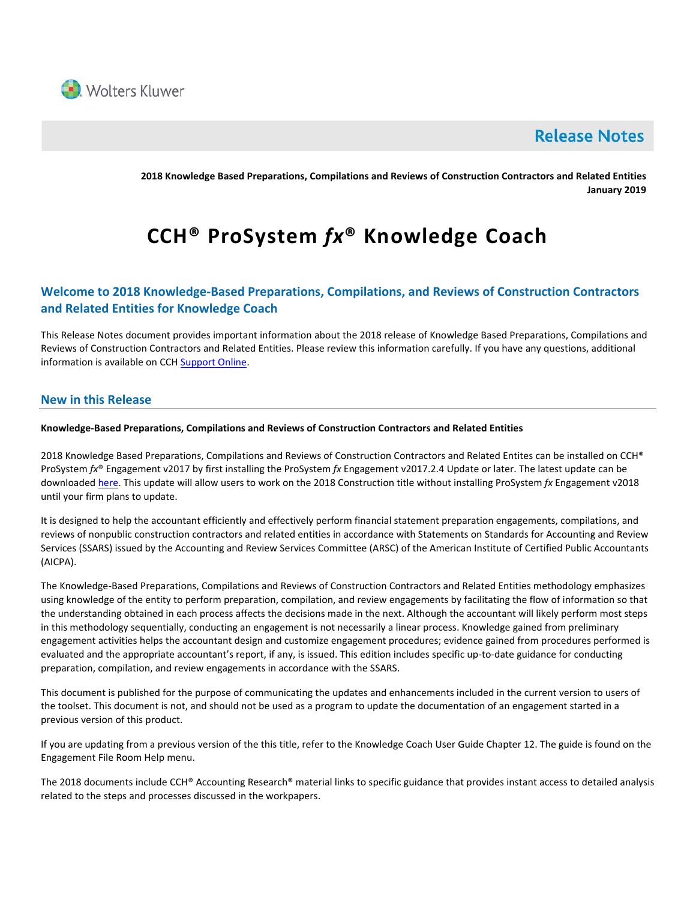

# **Release Notes**

**2018 Knowledge Based Preparations, Compilations and Reviews of Construction Contractors and Related Entities January 2019**

# **CCH® ProSystem** *fx***® Knowledge Coach**

# **Welcome to 2018 Knowledge-Based Preparations, Compilations, and Reviews of Construction Contractors and Related Entities for Knowledge Coach**

This Release Notes document provides important information about the 2018 release of Knowledge Based Preparations, Compilations and Reviews of Construction Contractors and Related Entities. Please review this information carefully. If you have any questions, additional information is available on CCH [Support Online.](http://support.cch.com/productsupport/)

## **New in this Release**

#### **Knowledge-Based Preparations, Compilations and Reviews of Construction Contractors and Related Entities**

2018 Knowledge Based Preparations, Compilations and Reviews of Construction Contractors and Related Entites can be installed on CCH® ProSystem *fx*® Engagement v2017 by first installing the ProSystem *fx* Engagement v2017.2.4 Update or later. The latest update can be downloade[d here.](https://support.cch.com/updates/Engagement/release2017/release2017.aspx) This update will allow users to work on the 2018 Construction title without installing ProSystem *fx* Engagement v2018 until your firm plans to update.

It is designed to help the accountant efficiently and effectively perform financial statement preparation engagements, compilations, and reviews of nonpublic construction contractors and related entities in accordance with Statements on Standards for Accounting and Review Services (SSARS) issued by the Accounting and Review Services Committee (ARSC) of the American Institute of Certified Public Accountants (AICPA).

The Knowledge-Based Preparations, Compilations and Reviews of Construction Contractors and Related Entities methodology emphasizes using knowledge of the entity to perform preparation, compilation, and review engagements by facilitating the flow of information so that the understanding obtained in each process affects the decisions made in the next. Although the accountant will likely perform most steps in this methodology sequentially, conducting an engagement is not necessarily a linear process. Knowledge gained from preliminary engagement activities helps the accountant design and customize engagement procedures; evidence gained from procedures performed is evaluated and the appropriate accountant's report, if any, is issued. This edition includes specific up-to-date guidance for conducting preparation, compilation, and review engagements in accordance with the SSARS.

This document is published for the purpose of communicating the updates and enhancements included in the current version to users of the toolset. This document is not, and should not be used as a program to update the documentation of an engagement started in a previous version of this product.

If you are updating from a previous version of the this title, refer to the Knowledge Coach User Guide Chapter 12. The guide is found on the Engagement File Room Help menu.

The 2018 documents include CCH® Accounting Research® material links to specific guidance that provides instant access to detailed analysis related to the steps and processes discussed in the workpapers.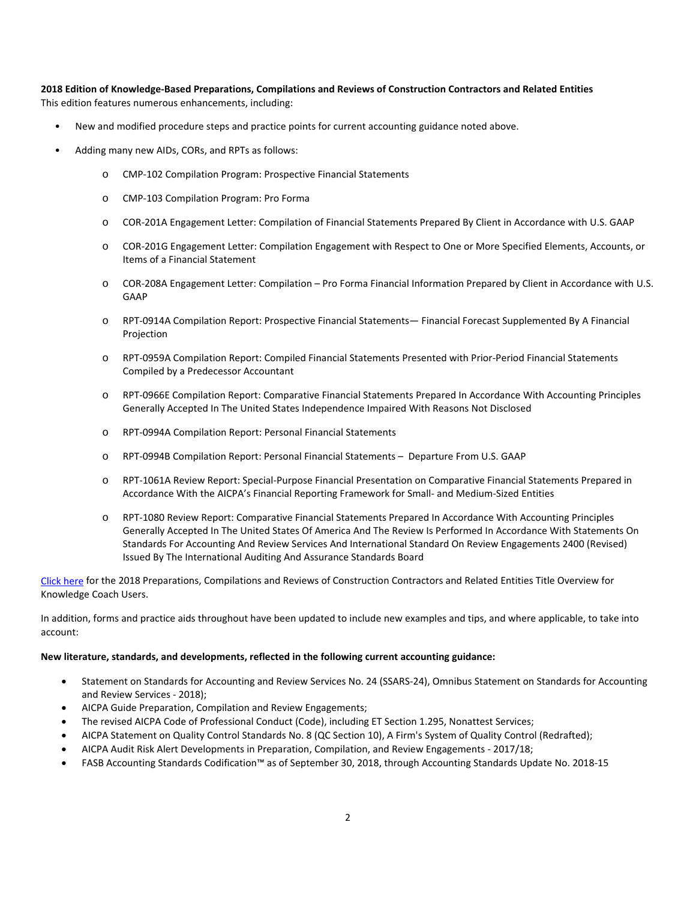**2018 Edition of Knowledge-Based Preparations, Compilations and Reviews of Construction Contractors and Related Entities** This edition features numerous enhancements, including:

- New and modified procedure steps and practice points for current accounting guidance noted above.
- Adding many new AIDs, CORs, and RPTs as follows:
	- o CMP-102 Compilation Program: Prospective Financial Statements
	- o CMP-103 Compilation Program: Pro Forma
	- o COR-201A Engagement Letter: Compilation of Financial Statements Prepared By Client in Accordance with U.S. GAAP
	- o COR-201G Engagement Letter: Compilation Engagement with Respect to One or More Specified Elements, Accounts, or Items of a Financial Statement
	- o COR-208A Engagement Letter: Compilation Pro Forma Financial Information Prepared by Client in Accordance with U.S. GAAP
	- o RPT-0914A Compilation Report: Prospective Financial Statements— Financial Forecast Supplemented By A Financial Projection
	- o RPT-0959A Compilation Report: Compiled Financial Statements Presented with Prior-Period Financial Statements Compiled by a Predecessor Accountant
	- o RPT-0966E Compilation Report: Comparative Financial Statements Prepared In Accordance With Accounting Principles Generally Accepted In The United States Independence Impaired With Reasons Not Disclosed
	- o RPT-0994A Compilation Report: Personal Financial Statements
	- o RPT-0994B Compilation Report: Personal Financial Statements Departure From U.S. GAAP
	- o RPT-1061A Review Report: Special-Purpose Financial Presentation on Comparative Financial Statements Prepared in Accordance With the AICPA's Financial Reporting Framework for Small- and Medium-Sized Entities
	- o RPT-1080 Review Report: Comparative Financial Statements Prepared In Accordance With Accounting Principles Generally Accepted In The United States Of America And The Review Is Performed In Accordance With Statements On Standards For Accounting And Review Services And International Standard On Review Engagements 2400 (Revised) Issued By The International Auditing And Assurance Standards Board

[Click here](http://support.cch.com/updates/KnowledgeCoach/pdf/guides_tab/2018%20Construction%20Entities%20PCR%20Title%20Overview%20for%20Knowledge%20Coach%20Users.pdf) for the 2018 Preparations, Compilations and Reviews of Construction Contractors and Related Entities Title Overview for Knowledge Coach Users.

In addition, forms and practice aids throughout have been updated to include new examples and tips, and where applicable, to take into account:

#### **New literature, standards, and developments, reflected in the following current accounting guidance:**

- Statement on Standards for Accounting and Review Services No. 24 (SSARS-24), Omnibus Statement on Standards for Accounting and Review Services - 2018);
- AICPA Guide Preparation, Compilation and Review Engagements;
- The revised AICPA Code of Professional Conduct (Code), including ET Section 1.295, Nonattest Services;
- AICPA Statement on Quality Control Standards No. 8 (QC Section 10), A Firm's System of Quality Control (Redrafted);
- AICPA Audit Risk Alert Developments in Preparation, Compilation, and Review Engagements 2017/18;
- FASB Accounting Standards Codification™ as of September 30, 2018, through Accounting Standards Update No. 2018-15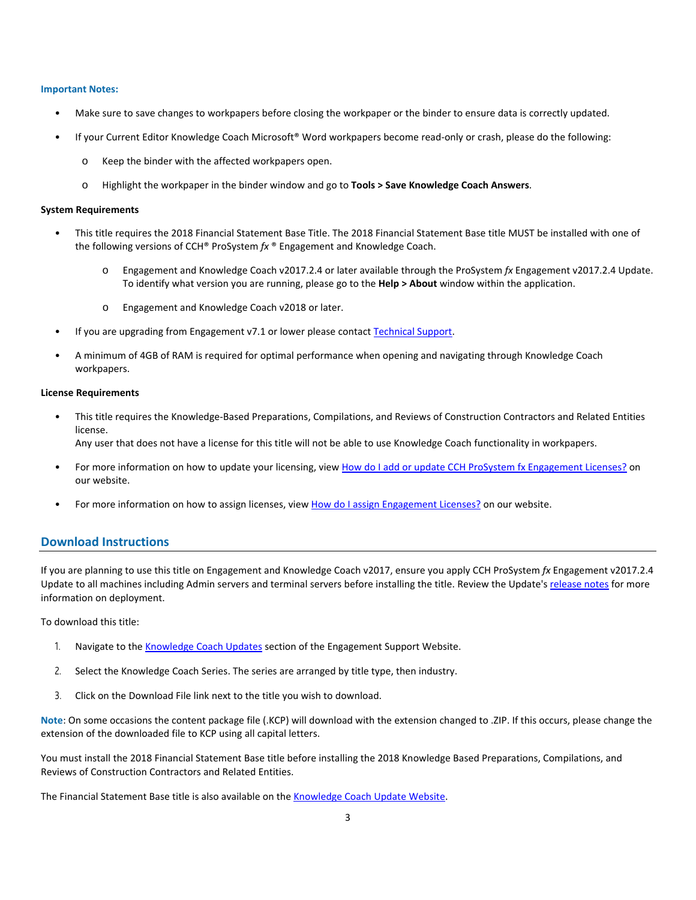#### **Important Notes:**

- Make sure to save changes to workpapers before closing the workpaper or the binder to ensure data is correctly updated.
- If your Current Editor Knowledge Coach Microsoft® Word workpapers become read-only or crash, please do the following:
	- o Keep the binder with the affected workpapers open.
	- o Highlight the workpaper in the binder window and go to **Tools > Save Knowledge Coach Answers**.

#### **System Requirements**

- This title requires the 2018 Financial Statement Base Title. The 2018 Financial Statement Base title MUST be installed with one of the following versions of CCH® ProSystem *fx* ® Engagement and Knowledge Coach.
	- o Engagement and Knowledge Coach v2017.2.4 or later available through the ProSystem *fx* Engagement v2017.2.4 Update. To identify what version you are running, please go to the **Help > About** window within the application.
	- o Engagement and Knowledge Coach v2018 or later.
- If you are upgrading from Engagement v7.1 or lower please contac[t Technical Support.](https://support.cch.com/contact)
- A minimum of 4GB of RAM is required for optimal performance when opening and navigating through Knowledge Coach workpapers.

#### **License Requirements**

- This title requires the Knowledge-Based Preparations, Compilations, and Reviews of Construction Contractors and Related Entities license. Any user that does not have a license for this title will not be able to use Knowledge Coach functionality in workpapers.
	-
- For more information on how to update your licensing, view [How do I add or update CCH ProSystem fx Engagement Licenses?](https://support.cch.com/kb/solution.aspx/sw3937) on our website.
- For more information on how to assign licenses, view [How do I assign Engagement Licenses?](https://support.cch.com/kb/solution.aspx/sw3943) on our website.

#### **Download Instructions**

If you are planning to use this title on Engagement and Knowledge Coach v2017, ensure you apply CCH ProSystem *fx* Engagement v2017.2.4 Update to all machines including Admin servers and terminal servers before installing the title. Review the Update's [release notes](https://d2iceilwdglxpz.cloudfront.net/release_notes/CCH%20ProSystem%20fx%20Engagement%20Release%20Notes%202017.2.4.pdf) for more information on deployment.

To download this title:

- 1. Navigate to the [Knowledge Coach Updates](http://support.cch.com/updates/KnowledgeCoach) section of the Engagement Support Website.
- 2. Select the Knowledge Coach Series. The series are arranged by title type, then industry.
- 3. Click on the Download File link next to the title you wish to download.

**Note**: On some occasions the content package file (.KCP) will download with the extension changed to .ZIP. If this occurs, please change the extension of the downloaded file to KCP using all capital letters.

You must install the 2018 Financial Statement Base title before installing the 2018 Knowledge Based Preparations, Compilations, and Reviews of Construction Contractors and Related Entities.

The Financial Statement Base title is also available on th[e Knowledge Coach Update Website.](http://support.cch.com/updates/KnowledgeCoach)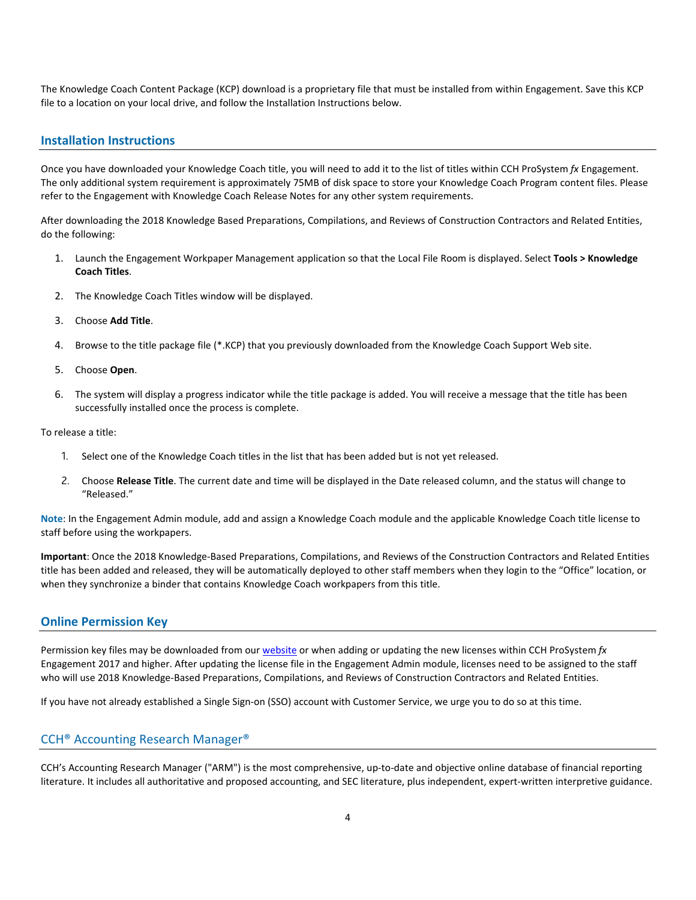The Knowledge Coach Content Package (KCP) download is a proprietary file that must be installed from within Engagement. Save this KCP file to a location on your local drive, and follow the Installation Instructions below.

#### **Installation Instructions**

Once you have downloaded your Knowledge Coach title, you will need to add it to the list of titles within CCH ProSystem *fx* Engagement. The only additional system requirement is approximately 75MB of disk space to store your Knowledge Coach Program content files. Please refer to the Engagement with Knowledge Coach Release Notes for any other system requirements.

After downloading the 2018 Knowledge Based Preparations, Compilations, and Reviews of Construction Contractors and Related Entities, do the following:

- 1. Launch the Engagement Workpaper Management application so that the Local File Room is displayed. Select **Tools > Knowledge Coach Titles**.
- 2. The Knowledge Coach Titles window will be displayed.
- 3. Choose **Add Title**.
- 4. Browse to the title package file (\*.KCP) that you previously downloaded from the Knowledge Coach Support Web site.
- 5. Choose **Open**.
- 6. The system will display a progress indicator while the title package is added. You will receive a message that the title has been successfully installed once the process is complete.

To release a title:

- 1. Select one of the Knowledge Coach titles in the list that has been added but is not yet released.
- 2. Choose **Release Title**. The current date and time will be displayed in the Date released column, and the status will change to "Released."

**Note**: In the Engagement Admin module, add and assign a Knowledge Coach module and the applicable Knowledge Coach title license to staff before using the workpapers.

**Important**: Once the 2018 Knowledge-Based Preparations, Compilations, and Reviews of the Construction Contractors and Related Entities title has been added and released, they will be automatically deployed to other staff members when they login to the "Office" location, or when they synchronize a binder that contains Knowledge Coach workpapers from this title.

### **Online Permission Key**

Permission key files may be downloaded from our [website](https://prosystemfxsupport.tax.cchgroup.com/permkey/download.aspx) or when adding or updating the new licenses within CCH ProSystem *fx* Engagement 2017 and higher. After updating the license file in the Engagement Admin module, licenses need to be assigned to the staff who will use 2018 Knowledge-Based Preparations, Compilations, and Reviews of Construction Contractors and Related Entities.

If you have not already established a Single Sign-on (SSO) account with Customer Service, we urge you to do so at this time.

#### CCH® Accounting Research Manager®

CCH's Accounting Research Manager ("ARM") is the most comprehensive, up-to-date and objective online database of financial reporting literature. It includes all authoritative and proposed accounting, and SEC literature, plus independent, expert-written interpretive guidance.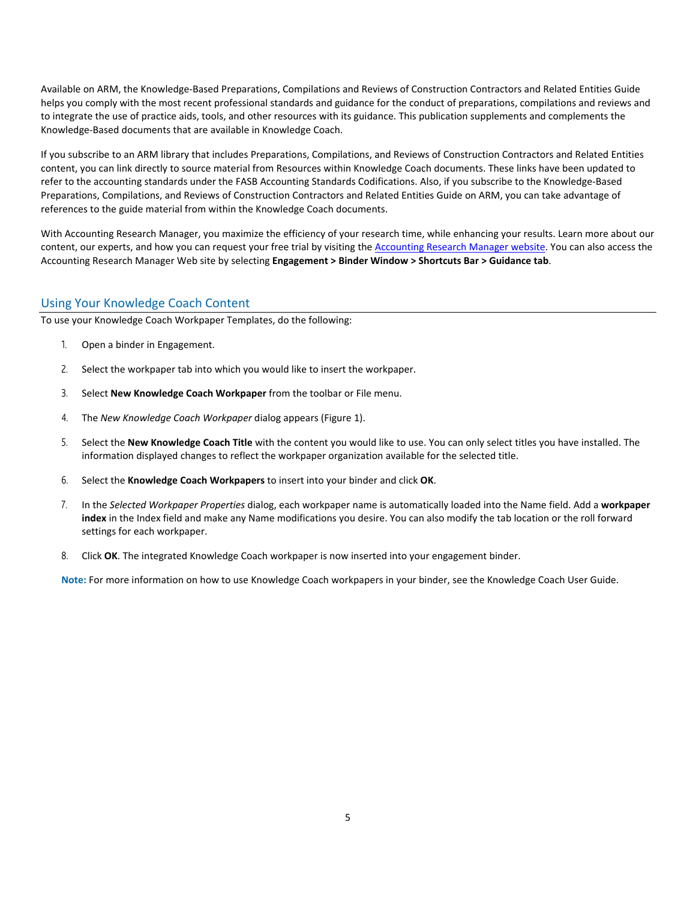Available on ARM, the Knowledge-Based Preparations, Compilations and Reviews of Construction Contractors and Related Entities Guide helps you comply with the most recent professional standards and guidance for the conduct of preparations, compilations and reviews and to integrate the use of practice aids, tools, and other resources with its guidance. This publication supplements and complements the Knowledge-Based documents that are available in Knowledge Coach.

If you subscribe to an ARM library that includes Preparations, Compilations, and Reviews of Construction Contractors and Related Entities content, you can link directly to source material from Resources within Knowledge Coach documents. These links have been updated to refer to the accounting standards under the FASB Accounting Standards Codifications. Also, if you subscribe to the Knowledge-Based Preparations, Compilations, and Reviews of Construction Contractors and Related Entities Guide on ARM, you can take advantage of references to the guide material from within the Knowledge Coach documents.

With Accounting Research Manager, you maximize the efficiency of your research time, while enhancing your results. Learn more about our content, our experts, and how you can request your free trial by visiting the [Accounting Research Manager website.](http://www.accountingresearchmanager.com/) You can also access the Accounting Research Manager Web site by selecting **Engagement > Binder Window > Shortcuts Bar > Guidance tab**.

# Using Your Knowledge Coach Content

To use your Knowledge Coach Workpaper Templates, do the following:

- 1. Open a binder in Engagement.
- 2. Select the workpaper tab into which you would like to insert the workpaper.
- 3. Select **New Knowledge Coach Workpaper** from the toolbar or File menu.
- 4. The *New Knowledge Coach Workpaper* dialog appears (Figure 1).
- 5. Select the **New Knowledge Coach Title** with the content you would like to use. You can only select titles you have installed. The information displayed changes to reflect the workpaper organization available for the selected title.
- 6. Select the **Knowledge Coach Workpapers** to insert into your binder and click **OK**.
- 7. In the *Selected Workpaper Properties* dialog, each workpaper name is automatically loaded into the Name field. Add a **workpaper index** in the Index field and make any Name modifications you desire. You can also modify the tab location or the roll forward settings for each workpaper.
- 8. Click **OK**. The integrated Knowledge Coach workpaper is now inserted into your engagement binder.

**Note:** For more information on how to use Knowledge Coach workpapers in your binder, see the Knowledge Coach User Guide.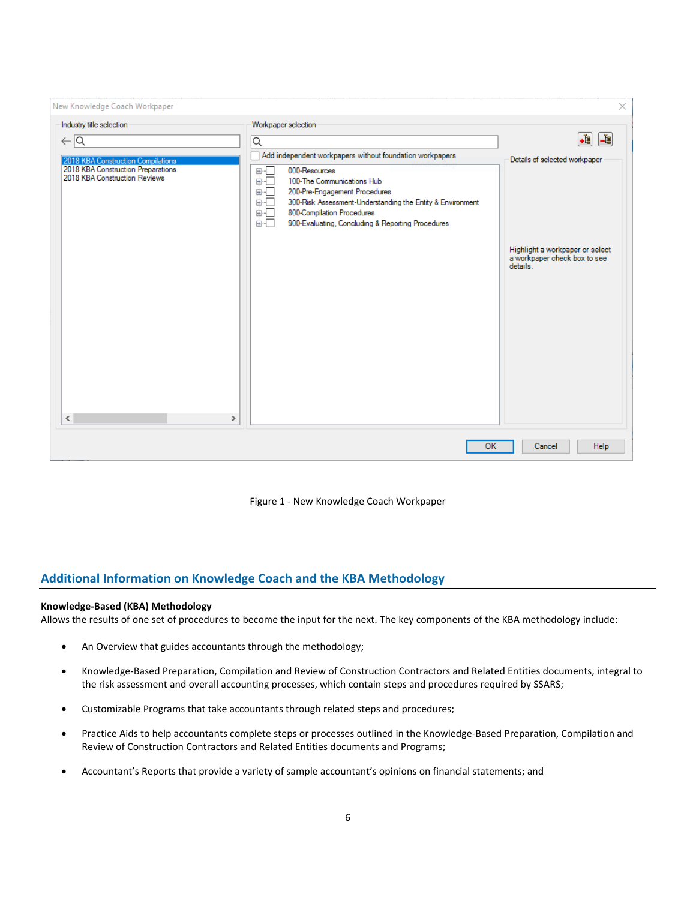| New Knowledge Coach Workpaper                                                 |                                                                                                                                                                                                                                                                    | $\times$                                                                   |
|-------------------------------------------------------------------------------|--------------------------------------------------------------------------------------------------------------------------------------------------------------------------------------------------------------------------------------------------------------------|----------------------------------------------------------------------------|
| Industry title selection                                                      | Workpaper selection                                                                                                                                                                                                                                                |                                                                            |
| $\leftarrow$ $\overline{Q}$                                                   | Q                                                                                                                                                                                                                                                                  | .i<br>$\frac{1}{16}$                                                       |
| 2018 KBA Construction Compilations                                            | Add independent workpapers without foundation workpapers                                                                                                                                                                                                           | Details of selected workpaper                                              |
| 2018 KBA Construction Preparations<br>2018 KBA Construction Reviews<br>≺<br>⋗ | 000-Resources<br>⊕⊹⊡<br>面口<br>100-The Communications Hub<br>面石<br>200-Pre-Engagement Procedures<br>画一<br>300-Risk Assessment-Understanding the Entity & Environment<br>画一<br>800-Compilation Procedures<br>面口<br>900-Evaluating, Concluding & Reporting Procedures | Highlight a workpaper or select<br>a workpaper check box to see<br>details |
| OK<br>Help<br>Cancel                                                          |                                                                                                                                                                                                                                                                    |                                                                            |
|                                                                               |                                                                                                                                                                                                                                                                    |                                                                            |

Figure 1 - New Knowledge Coach Workpaper

# **Additional Information on Knowledge Coach and the KBA Methodology**

#### **Knowledge-Based (KBA) Methodology**

Allows the results of one set of procedures to become the input for the next. The key components of the KBA methodology include:

- An Overview that guides accountants through the methodology;
- Knowledge-Based Preparation, Compilation and Review of Construction Contractors and Related Entities documents, integral to the risk assessment and overall accounting processes, which contain steps and procedures required by SSARS;
- Customizable Programs that take accountants through related steps and procedures;
- Practice Aids to help accountants complete steps or processes outlined in the Knowledge-Based Preparation, Compilation and Review of Construction Contractors and Related Entities documents and Programs;
- Accountant's Reports that provide a variety of sample accountant's opinions on financial statements; and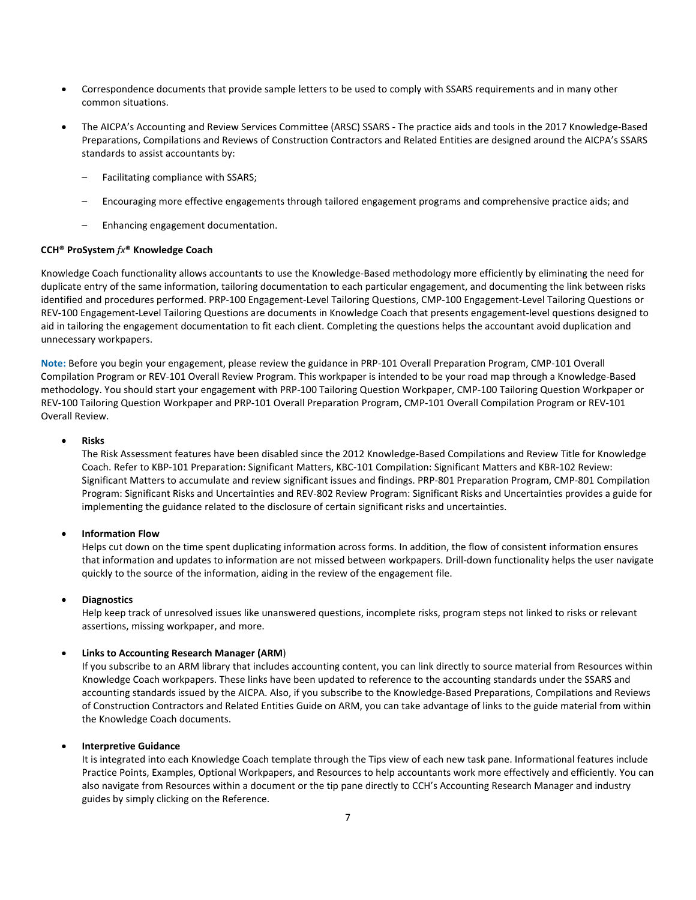- Correspondence documents that provide sample letters to be used to comply with SSARS requirements and in many other common situations.
- The AICPA's Accounting and Review Services Committee (ARSC) SSARS The practice aids and tools in the 2017 Knowledge-Based Preparations, Compilations and Reviews of Construction Contractors and Related Entities are designed around the AICPA's SSARS standards to assist accountants by:
	- Facilitating compliance with SSARS;
	- Encouraging more effective engagements through tailored engagement programs and comprehensive practice aids; and
	- Enhancing engagement documentation.

#### **CCH® ProSystem** *fx***® Knowledge Coach**

Knowledge Coach functionality allows accountants to use the Knowledge-Based methodology more efficiently by eliminating the need for duplicate entry of the same information, tailoring documentation to each particular engagement, and documenting the link between risks identified and procedures performed. PRP-100 Engagement-Level Tailoring Questions, CMP-100 Engagement-Level Tailoring Questions or REV-100 Engagement-Level Tailoring Questions are documents in Knowledge Coach that presents engagement-level questions designed to aid in tailoring the engagement documentation to fit each client. Completing the questions helps the accountant avoid duplication and unnecessary workpapers.

**Note:** Before you begin your engagement, please review the guidance in PRP-101 Overall Preparation Program, CMP-101 Overall Compilation Program or REV-101 Overall Review Program. This workpaper is intended to be your road map through a Knowledge-Based methodology. You should start your engagement with PRP-100 Tailoring Question Workpaper, CMP-100 Tailoring Question Workpaper or REV-100 Tailoring Question Workpaper and PRP-101 Overall Preparation Program, CMP-101 Overall Compilation Program or REV-101 Overall Review.

#### • **Risks**

The Risk Assessment features have been disabled since the 2012 Knowledge-Based Compilations and Review Title for Knowledge Coach. Refer to KBP-101 Preparation: Significant Matters, KBC-101 Compilation: Significant Matters and KBR-102 Review: Significant Matters to accumulate and review significant issues and findings. PRP-801 Preparation Program, CMP-801 Compilation Program: Significant Risks and Uncertainties and REV-802 Review Program: Significant Risks and Uncertainties provides a guide for implementing the guidance related to the disclosure of certain significant risks and uncertainties.

#### • **Information Flow**

Helps cut down on the time spent duplicating information across forms. In addition, the flow of consistent information ensures that information and updates to information are not missed between workpapers. Drill-down functionality helps the user navigate quickly to the source of the information, aiding in the review of the engagement file.

#### • **Diagnostics**

Help keep track of unresolved issues like unanswered questions, incomplete risks, program steps not linked to risks or relevant assertions, missing workpaper, and more.

#### • **Links to Accounting Research Manager (ARM**)

If you subscribe to an ARM library that includes accounting content, you can link directly to source material from Resources within Knowledge Coach workpapers. These links have been updated to reference to the accounting standards under the SSARS and accounting standards issued by the AICPA. Also, if you subscribe to the Knowledge-Based Preparations, Compilations and Reviews of Construction Contractors and Related Entities Guide on ARM, you can take advantage of links to the guide material from within the Knowledge Coach documents.

#### • **Interpretive Guidance**

It is integrated into each Knowledge Coach template through the Tips view of each new task pane. Informational features include Practice Points, Examples, Optional Workpapers, and Resources to help accountants work more effectively and efficiently. You can also navigate from Resources within a document or the tip pane directly to CCH's Accounting Research Manager and industry guides by simply clicking on the Reference.